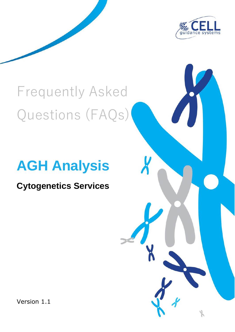

# Frequently Asked Questions (FAQs)

## **AGH Analysis**

### **Cytogenetics Services**

Version 1.1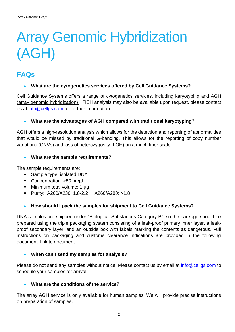## Array Genomic Hybridization (AGH)

### **FAQs**

#### • **What are the cytogenetics services offered by Cell Guidance Systems?**

Cell Guidance Systems offers a range of cytogenetics services, including [karyotyping](https://www.cellgs.com/services/cytogenetics-services/karyotype-analysis.html) and [AGH](https://www.cellgs.com/services/cytogenetics-services/acgh-and-agh-analysis.html)  [\(array genomic hybridization\) .](https://www.cellgs.com/services/cytogenetics-services/acgh-and-agh-analysis.html) FISH analysis may also be available upon request, please contact us at [info@cellgs.com](mailto:info@cellgs.com) for further information.

#### • **What are the advantages of AGH compared with traditional karyotyping?**

AGH offers a high-resolution analysis which allows for the detection and reporting of abnormalities that would be missed by traditional G-banding. This allows for the reporting of copy number variations (CNVs) and loss of heterozygosity (LOH) on a much finer scale.

#### • **What are the sample requirements?**

The sample requirements are:

- Sample type: isolated DNA
- Concentration: >50 ng/µl
- Minimum total volume: 1 µg
- Purity: A260/A230: 1.8-2.2 A260/A280: >1.8

#### • **How should I pack the samples for shipment to Cell Guidance Systems?**

DNA samples are shipped under "Biological Substances Category B", so the package should be prepared using the triple packaging system consisting of a leak-proof primary inner layer, a leakproof secondary layer, and an outside box with labels marking the contents as dangerous. Full instructions on packaging and customs clearance indications are provided in the following document: link to document.

#### • **When can I send my samples for analysis?**

Please do not send any samples without notice. Please contact us by email at *info@cellgs.com* to schedule your samples for arrival.

#### • **What are the conditions of the service?**

The array AGH service is only available for human samples. We will provide precise instructions on preparation of samples.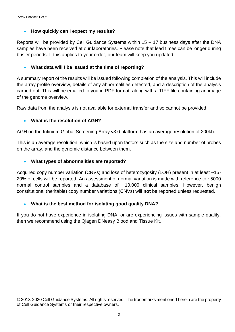#### • **How quickly can I expect my results?**

Reports will be provided by Cell Guidance Systems within 15 – 17 business days after the DNA samples have been received at our laboratories. Please note that lead times can be longer during busier periods. If this applies to your order, our team will keep you updated.

#### • **What data will I be issued at the time of reporting?**

A summary report of the results will be issued following completion of the analysis. This will include the array profile overview, details of any abnormalities detected, and a description of the analysis carried out. This will be emailed to you in PDF format, along with a TIFF file containing an image of the genome overview.

Raw data from the analysis is not available for external transfer and so cannot be provided.

#### • **What is the resolution of AGH?**

AGH on the Infinium Global Screening Array v3.0 platform has an average resolution of 200kb.

This is an average resolution, which is based upon factors such as the size and number of probes on the array, and the genomic distance between them.

#### • **What types of abnormalities are reported?**

Acquired copy number variation (CNVs) and loss of heterozygosity (LOH) present in at least ~15- 20% of cells will be reported. An assessment of normal variation is made with reference to ~5000 normal control samples and a database of ~10,000 clinical samples. However, benign constitutional (heritable) copy number variations (CNVs) will **not** be reported unless requested.

#### • **What is the best method for isolating good quality DNA?**

If you do not have experience in isolating DNA, or are experiencing issues with sample quality, then we recommend using the Qiagen DNeasy Blood and Tissue Kit.